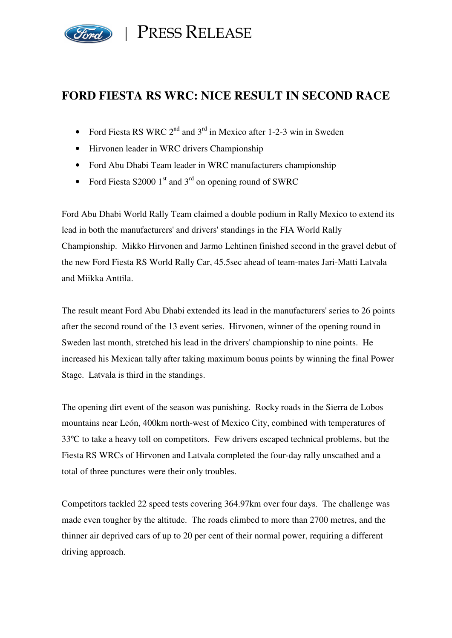

PRESS RELEASE

# **FORD FIESTA RS WRC: NICE RESULT IN SECOND RACE**

- Ford Fiesta RS WRC  $2^{nd}$  and  $3^{rd}$  in Mexico after 1-2-3 win in Sweden
- Hirvonen leader in WRC drivers Championship
- Ford Abu Dhabi Team leader in WRC manufacturers championship
- Ford Fiesta S2000  $1<sup>st</sup>$  and  $3<sup>rd</sup>$  on opening round of SWRC

Ford Abu Dhabi World Rally Team claimed a double podium in Rally Mexico to extend its lead in both the manufacturers' and drivers' standings in the FIA World Rally Championship. Mikko Hirvonen and Jarmo Lehtinen finished second in the gravel debut of the new Ford Fiesta RS World Rally Car, 45.5sec ahead of team-mates Jari-Matti Latvala and Miikka Anttila.

The result meant Ford Abu Dhabi extended its lead in the manufacturers' series to 26 points after the second round of the 13 event series. Hirvonen, winner of the opening round in Sweden last month, stretched his lead in the drivers' championship to nine points. He increased his Mexican tally after taking maximum bonus points by winning the final Power Stage. Latvala is third in the standings.

The opening dirt event of the season was punishing. Rocky roads in the Sierra de Lobos mountains near León, 400km north-west of Mexico City, combined with temperatures of 33ºC to take a heavy toll on competitors. Few drivers escaped technical problems, but the Fiesta RS WRCs of Hirvonen and Latvala completed the four-day rally unscathed and a total of three punctures were their only troubles.

Competitors tackled 22 speed tests covering 364.97km over four days. The challenge was made even tougher by the altitude. The roads climbed to more than 2700 metres, and the thinner air deprived cars of up to 20 per cent of their normal power, requiring a different driving approach.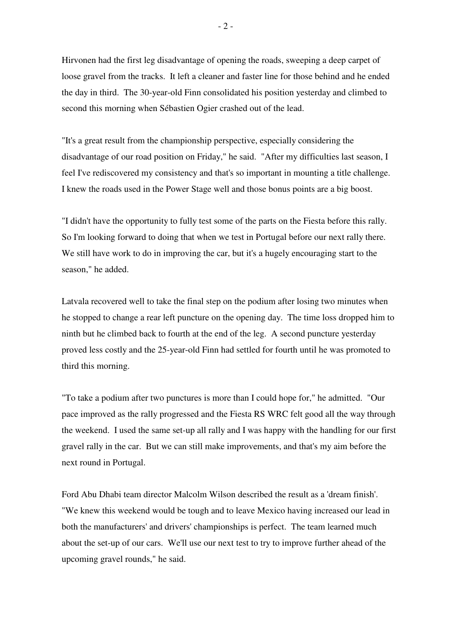Hirvonen had the first leg disadvantage of opening the roads, sweeping a deep carpet of loose gravel from the tracks. It left a cleaner and faster line for those behind and he ended the day in third. The 30-year-old Finn consolidated his position yesterday and climbed to second this morning when Sébastien Ogier crashed out of the lead.

"It's a great result from the championship perspective, especially considering the disadvantage of our road position on Friday," he said. "After my difficulties last season, I feel I've rediscovered my consistency and that's so important in mounting a title challenge. I knew the roads used in the Power Stage well and those bonus points are a big boost.

"I didn't have the opportunity to fully test some of the parts on the Fiesta before this rally. So I'm looking forward to doing that when we test in Portugal before our next rally there. We still have work to do in improving the car, but it's a hugely encouraging start to the season," he added.

Latvala recovered well to take the final step on the podium after losing two minutes when he stopped to change a rear left puncture on the opening day. The time loss dropped him to ninth but he climbed back to fourth at the end of the leg. A second puncture yesterday proved less costly and the 25-year-old Finn had settled for fourth until he was promoted to third this morning.

"To take a podium after two punctures is more than I could hope for," he admitted. "Our pace improved as the rally progressed and the Fiesta RS WRC felt good all the way through the weekend. I used the same set-up all rally and I was happy with the handling for our first gravel rally in the car. But we can still make improvements, and that's my aim before the next round in Portugal.

Ford Abu Dhabi team director Malcolm Wilson described the result as a 'dream finish'. "We knew this weekend would be tough and to leave Mexico having increased our lead in both the manufacturers' and drivers' championships is perfect. The team learned much about the set-up of our cars. We'll use our next test to try to improve further ahead of the upcoming gravel rounds," he said.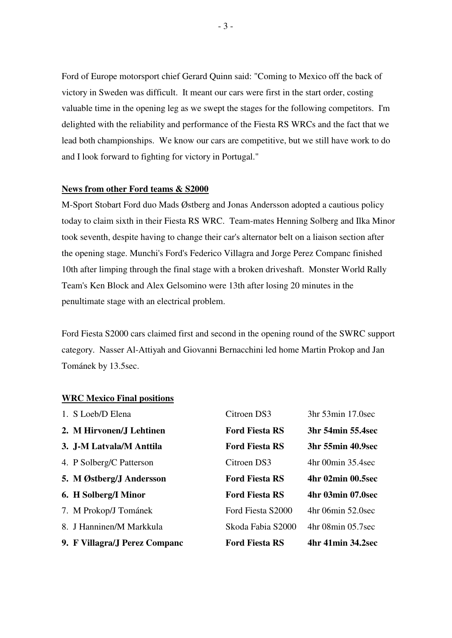Ford of Europe motorsport chief Gerard Quinn said: "Coming to Mexico off the back of victory in Sweden was difficult. It meant our cars were first in the start order, costing valuable time in the opening leg as we swept the stages for the following competitors. I'm delighted with the reliability and performance of the Fiesta RS WRCs and the fact that we lead both championships. We know our cars are competitive, but we still have work to do and I look forward to fighting for victory in Portugal."

#### **News from other Ford teams & S2000**

M-Sport Stobart Ford duo Mads Østberg and Jonas Andersson adopted a cautious policy today to claim sixth in their Fiesta RS WRC. Team-mates Henning Solberg and Ilka Minor took seventh, despite having to change their car's alternator belt on a liaison section after the opening stage. Munchi's Ford's Federico Villagra and Jorge Perez Companc finished 10th after limping through the final stage with a broken driveshaft. Monster World Rally Team's Ken Block and Alex Gelsomino were 13th after losing 20 minutes in the penultimate stage with an electrical problem.

Ford Fiesta S2000 cars claimed first and second in the opening round of the SWRC support category. Nasser Al-Attiyah and Giovanni Bernacchini led home Martin Prokop and Jan Tománek by 13.5sec.

#### **WRC Mexico Final positions**

| 9. F Villagra/J Perez Companc | <b>Ford Fiesta RS</b> | 4hr 41min 34.2sec      |
|-------------------------------|-----------------------|------------------------|
| 8. J Hanninen/M Markkula      | Skoda Fabia S2000     | $4hr$ 08 $min$ 05.7sec |
| 7. M Prokop/J Tománek         | Ford Fiesta S2000     | 4hr 06min 52.0sec      |
| 6. H Solberg/I Minor          | <b>Ford Fiesta RS</b> | 4hr 03min 07.0sec      |
| 5. M Østberg/J Andersson      | <b>Ford Fiesta RS</b> | 4hr 02min 00.5sec      |
| 4. P Solberg/C Patterson      | Citroen DS3           | 4hr 00min 35.4sec      |
| 3. J-M Latvala/M Anttila      | <b>Ford Fiesta RS</b> | 3hr 55min 40.9sec      |
| 2. M Hirvonen/J Lehtinen      | <b>Ford Fiesta RS</b> | 3hr 54min 55.4sec      |
| 1. S Loeb/D Elena             | Citroen DS3           | 3hr 53min 17.0sec      |